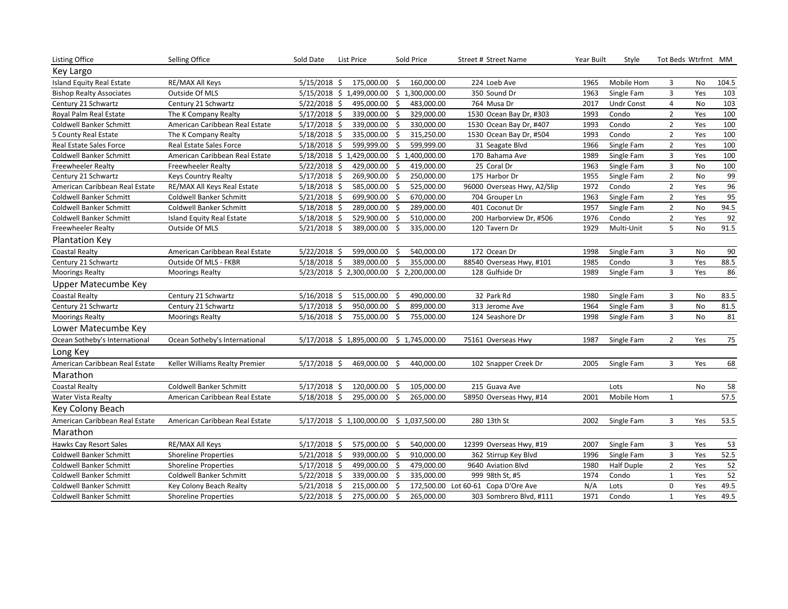| <b>Listing Office</b>           | Selling Office                   | Sold Date      | List Price                | Sold Price                                | Street # Street Name        | Year Built | Style             |                | Tot Beds Wtrfrnt MM |        |
|---------------------------------|----------------------------------|----------------|---------------------------|-------------------------------------------|-----------------------------|------------|-------------------|----------------|---------------------|--------|
| Key Largo                       |                                  |                |                           |                                           |                             |            |                   |                |                     |        |
| Island Equity Real Estate       | RE/MAX All Keys                  | $5/15/2018$ \$ | 175,000.00                | \$<br>160,000.00                          | 224 Loeb Ave                | 1965       | Mobile Hom        | 3              | No                  | 104.5  |
| <b>Bishop Realty Associates</b> | Outside Of MLS                   |                | 5/15/2018 \$ 1,499,000.00 | \$1,300,000.00                            | 350 Sound Dr                | 1963       | Single Fam        | 3              | Yes                 | 103    |
| Century 21 Schwartz             | Century 21 Schwartz              | $5/22/2018$ \$ | 495,000.00                | 483,000.00<br>\$                          | 764 Musa Dr                 | 2017       | <b>Undr Const</b> | 4              | No                  | 103    |
| Royal Palm Real Estate          | The K Company Realty             | $5/17/2018$ \$ | 339,000.00                | \$<br>329,000.00                          | 1530 Ocean Bay Dr, #303     | 1993       | Condo             | $\overline{2}$ | Yes                 | 100    |
| Coldwell Banker Schmitt         | American Caribbean Real Estate   | $5/17/2018$ \$ | 339,000.00                | 330,000.00<br>Ŝ.                          | 1530 Ocean Bay Dr, #407     | 1993       | Condo             | $\overline{2}$ | Yes                 | 100    |
| 5 County Real Estate            | The K Company Realty             | $5/18/2018$ \$ | 335,000.00                | \$<br>315,250.00                          | 1530 Ocean Bay Dr, #504     | 1993       | Condo             | $\overline{2}$ | Yes                 | 100    |
| Real Estate Sales Force         | Real Estate Sales Force          | $5/18/2018$ \$ | 599,999.00                | 599,999.00<br>Ś.                          | 31 Seagate Blvd             | 1966       | Single Fam        | $\overline{2}$ | Yes                 | 100    |
| Coldwell Banker Schmitt         | American Caribbean Real Estate   |                | 5/18/2018 \$ 1,429,000.00 | \$1,400,000.00                            | 170 Bahama Ave              | 1989       | Single Fam        | 3              | Yes                 | 100    |
| <b>Freewheeler Realty</b>       | <b>Freewheeler Realty</b>        | $5/22/2018$ \$ | 429,000.00                | Ŝ.<br>419,000.00                          | 25 Coral Dr                 | 1963       | Single Fam        | 3              | <b>No</b>           | 100    |
| Century 21 Schwartz             | <b>Keys Country Realty</b>       | $5/17/2018$ \$ | 269,900.00                | \$<br>250,000.00                          | 175 Harbor Dr               | 1955       | Single Fam        | $\overline{2}$ | No                  | 99     |
| American Caribbean Real Estate  | RE/MAX All Keys Real Estate      | $5/18/2018$ \$ | 585,000.00                | 525,000.00<br>-Ś                          | 96000 Overseas Hwy, A2/Slip | 1972       | Condo             | $\overline{2}$ | Yes                 | 96     |
| Coldwell Banker Schmitt         | <b>Coldwell Banker Schmitt</b>   | $5/21/2018$ \$ | 699,900.00                | - \$<br>670,000.00                        | 704 Grouper Ln              | 1963       | Single Fam        | $\overline{2}$ | Yes                 | 95     |
| Coldwell Banker Schmitt         | <b>Coldwell Banker Schmitt</b>   | $5/18/2018$ \$ | 289,000.00                | 289,000.00<br>Ŝ.                          | 401 Coconut Dr              | 1957       | Single Fam        | $\overline{2}$ | No                  | 94.5   |
| Coldwell Banker Schmitt         | <b>Island Equity Real Estate</b> | $5/18/2018$ \$ | 529,900.00                | 510,000.00<br>S.                          | 200 Harborview Dr, #506     | 1976       | Condo             | $\overline{2}$ | Yes                 | 92     |
| <b>Freewheeler Realty</b>       | Outside Of MLS                   | $5/21/2018$ \$ | 389,000.00                | 335,000.00<br>-\$                         | 120 Tavern Dr               | 1929       | Multi-Unit        | 5              | No                  | 91.5   |
| <b>Plantation Key</b>           |                                  |                |                           |                                           |                             |            |                   |                |                     |        |
| <b>Coastal Realty</b>           | American Caribbean Real Estate   | $5/22/2018$ \$ | 599,000.00                | 540,000.00<br>-\$                         | 172 Ocean Dr                | 1998       | Single Fam        | 3              | No                  | 90     |
| Century 21 Schwartz             | Outside Of MLS - FKBR            | $5/18/2018$ \$ | 389,000.00                | Ś.<br>355,000.00                          | 88540 Overseas Hwy, #101    | 1985       | Condo             | 3              | Yes                 | 88.5   |
| <b>Moorings Realty</b>          | <b>Moorings Realty</b>           |                | 5/23/2018 \$ 2,300,000.00 | \$2,200,000.00                            | 128 Gulfside Dr             | 1989       | Single Fam        | $\overline{3}$ | Yes                 | 86     |
| Upper Matecumbe Key             |                                  |                |                           |                                           |                             |            |                   |                |                     |        |
| <b>Coastal Realty</b>           | Century 21 Schwartz              | $5/16/2018$ \$ | 515,000.00                | 490,000.00<br>-\$                         | 32 Park Rd                  | 1980       | Single Fam        | 3              | No                  | 83.5   |
| Century 21 Schwartz             | Century 21 Schwartz              | $5/17/2018$ \$ | 950,000.00                | 899,000.00<br>Ŝ.                          | 313 Jerome Ave              | 1964       | Single Fam        | 3              | No                  | 81.5   |
| <b>Moorings Realty</b>          | <b>Moorings Realty</b>           | 5/16/2018 \$   | 755,000.00                | - \$<br>755,000.00                        | 124 Seashore Dr             | 1998       | Single Fam        | 3              | No                  | 81     |
| Lower Matecumbe Key             |                                  |                |                           |                                           |                             |            |                   |                |                     |        |
| Ocean Sotheby's International   | Ocean Sotheby's International    |                | 5/17/2018 \$1,895,000.00  | \$1,745,000.00                            | 75161 Overseas Hwy          | 1987       | Single Fam        | $\overline{2}$ | Yes                 | $75\,$ |
| Long Key                        |                                  |                |                           |                                           |                             |            |                   |                |                     |        |
| American Caribbean Real Estate  | Keller Williams Realty Premier   | $5/17/2018$ \$ | 469,000.00                | 440,000.00<br>-\$                         | 102 Snapper Creek Dr        | 2005       | Single Fam        | 3              | Yes                 | 68     |
| Marathon                        |                                  |                |                           |                                           |                             |            |                   |                |                     |        |
| <b>Coastal Realty</b>           | <b>Coldwell Banker Schmitt</b>   | $5/17/2018$ \$ | 120,000.00                | 105,000.00<br>-\$                         | 215 Guava Ave               |            | Lots              |                | No                  | 58     |
| <b>Water Vista Realty</b>       | American Caribbean Real Estate   | $5/18/2018$ \$ | 295,000.00                | 265,000.00<br>-\$                         | 58950 Overseas Hwy, #14     | 2001       | Mobile Hom        | 1              |                     | 57.5   |
| Key Colony Beach                |                                  |                |                           |                                           |                             |            |                   |                |                     |        |
| American Caribbean Real Estate  | American Caribbean Real Estate   |                |                           | 5/17/2018 \$ 1,100,000.00 \$ 1,037,500.00 | 280 13th St                 | 2002       | Single Fam        | 3              | Yes                 | 53.5   |
| Marathon                        |                                  |                |                           |                                           |                             |            |                   |                |                     |        |
| Hawks Cay Resort Sales          | RE/MAX All Keys                  | $5/17/2018$ \$ | 575,000.00                | 540,000.00<br>-Ś                          | 12399 Overseas Hwy, #19     | 2007       | Single Fam        | 3              | Yes                 | 53     |
| Coldwell Banker Schmitt         | <b>Shoreline Properties</b>      | $5/21/2018$ \$ | 939,000.00                | -\$<br>910,000.00                         | 362 Stirrup Key Blvd        | 1996       | Single Fam        | 3              | Yes                 | 52.5   |
| <b>Coldwell Banker Schmitt</b>  | <b>Shoreline Properties</b>      | $5/17/2018$ \$ | 499,000.00                | $\zeta$<br>479,000.00                     | 9640 Aviation Blvd          | 1980       | <b>Half Duple</b> | $\overline{2}$ | Yes                 | 52     |
| Coldwell Banker Schmitt         | <b>Coldwell Banker Schmitt</b>   | $5/22/2018$ \$ | 339,000.00                | Ś.<br>335,000.00                          | 999 98th St, #5             | 1974       | Condo             | $\mathbf{1}$   | Yes                 | 52     |
| <b>Coldwell Banker Schmitt</b>  | Key Colony Beach Realty          | 5/21/2018 \$   | 215,000.00                | 172,500.00                                | Lot 60-61 Copa D'Ore Ave    | N/A        | Lots              | $\mathbf 0$    | Yes                 | 49.5   |
| <b>Coldwell Banker Schmitt</b>  | <b>Shoreline Properties</b>      | $5/22/2018$ \$ | 275,000.00                | Ŝ.<br>265,000.00                          | 303 Sombrero Blvd, #111     | 1971       | Condo             | $\mathbf{1}$   | Yes                 | 49.5   |